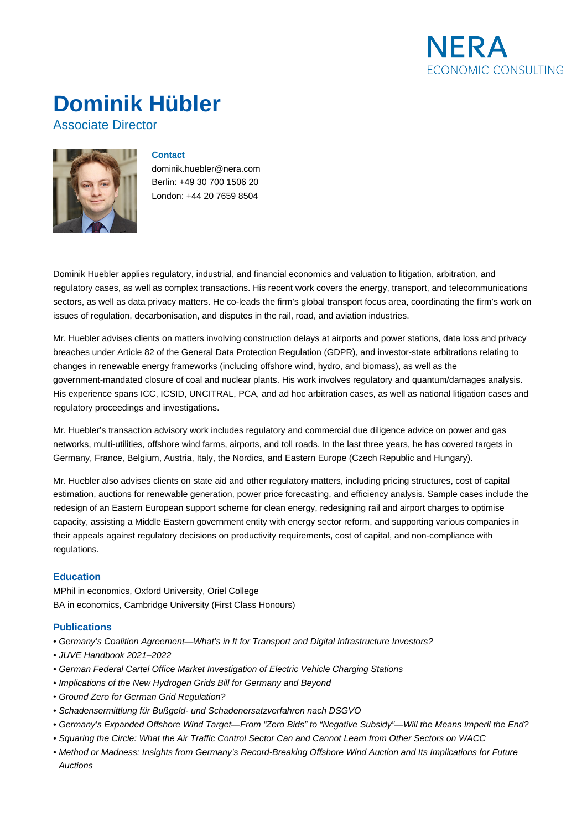

# **Dominik Hübler**

Associate Director



#### **Contact**

dominik.huebler@nera.com Berlin: +49 30 700 1506 20 London: +44 20 7659 8504

Dominik Huebler applies regulatory, industrial, and financial economics and valuation to litigation, arbitration, and regulatory cases, as well as complex transactions. His recent work covers the energy, transport, and telecommunications sectors, as well as data privacy matters. He co-leads the firm's global transport focus area, coordinating the firm's work on issues of regulation, decarbonisation, and disputes in the rail, road, and aviation industries.

Mr. Huebler advises clients on matters involving construction delays at airports and power stations, data loss and privacy breaches under Article 82 of the General Data Protection Regulation (GDPR), and investor-state arbitrations relating to changes in renewable energy frameworks (including offshore wind, hydro, and biomass), as well as the government-mandated closure of coal and nuclear plants. His work involves regulatory and quantum/damages analysis. His experience spans ICC, ICSID, UNCITRAL, PCA, and ad hoc arbitration cases, as well as national litigation cases and regulatory proceedings and investigations.

Mr. Huebler's transaction advisory work includes regulatory and commercial due diligence advice on power and gas networks, multi-utilities, offshore wind farms, airports, and toll roads. In the last three years, he has covered targets in Germany, France, Belgium, Austria, Italy, the Nordics, and Eastern Europe (Czech Republic and Hungary).

Mr. Huebler also advises clients on state aid and other regulatory matters, including pricing structures, cost of capital estimation, auctions for renewable generation, power price forecasting, and efficiency analysis. Sample cases include the redesign of an Eastern European support scheme for clean energy, redesigning rail and airport charges to optimise capacity, assisting a Middle Eastern government entity with energy sector reform, and supporting various companies in their appeals against regulatory decisions on productivity requirements, cost of capital, and non-compliance with regulations.

### **Education**

MPhil in economics, Oxford University, Oriel College BA in economics, Cambridge University (First Class Honours)

### **Publications**

- Germany's Coalition Agreement—What's in It for Transport and Digital Infrastructure Investors?
- JUVE Handbook 2021–2022
- German Federal Cartel Office Market Investigation of Electric Vehicle Charging Stations
- Implications of the New Hydrogen Grids Bill for Germany and Beyond
- Ground Zero for German Grid Regulation?
- Schadensermittlung für Bußgeld- und Schadenersatzverfahren nach DSGVO
- Germany's Expanded Offshore Wind Target—From "Zero Bids" to "Negative Subsidy"—Will the Means Imperil the End?
- Squaring the Circle: What the Air Traffic Control Sector Can and Cannot Learn from Other Sectors on WACC
- Method or Madness: Insights from Germany's Record-Breaking Offshore Wind Auction and Its Implications for Future Auctions